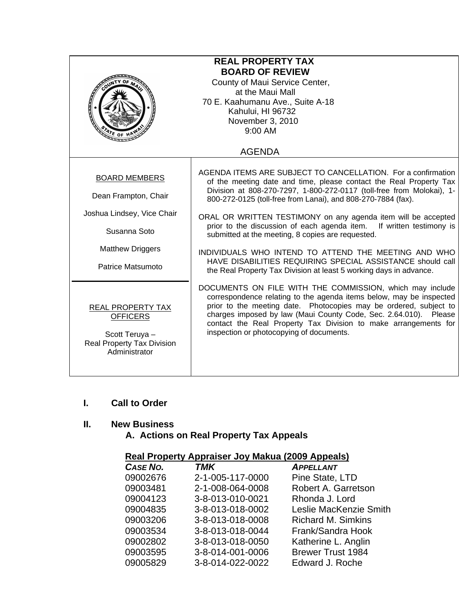| <b>REAL PROPERTY TAX</b><br><b>BOARD OF REVIEW</b><br>County of Maui Service Center,<br>at the Maui Mall<br>70 E. Kaahumanu Ave., Suite A-18<br>Kahului, HI 96732<br>November 3, 2010<br>$9:00$ AM<br>$\frac{4}{\sqrt{5}}$ of |                                                                                                                                                                                                                                                                                                                                                                                                                                                                                                                                                                                                                                                                       |
|-------------------------------------------------------------------------------------------------------------------------------------------------------------------------------------------------------------------------------|-----------------------------------------------------------------------------------------------------------------------------------------------------------------------------------------------------------------------------------------------------------------------------------------------------------------------------------------------------------------------------------------------------------------------------------------------------------------------------------------------------------------------------------------------------------------------------------------------------------------------------------------------------------------------|
|                                                                                                                                                                                                                               | <b>AGENDA</b>                                                                                                                                                                                                                                                                                                                                                                                                                                                                                                                                                                                                                                                         |
| <b>BOARD MEMBERS</b><br>Dean Frampton, Chair<br>Joshua Lindsey, Vice Chair<br>Susanna Soto<br><b>Matthew Driggers</b><br>Patrice Matsumoto                                                                                    | AGENDA ITEMS ARE SUBJECT TO CANCELLATION. For a confirmation<br>of the meeting date and time, please contact the Real Property Tax<br>Division at 808-270-7297, 1-800-272-0117 (toll-free from Molokai), 1-<br>800-272-0125 (toll-free from Lanai), and 808-270-7884 (fax).<br>ORAL OR WRITTEN TESTIMONY on any agenda item will be accepted<br>prior to the discussion of each agenda item. If written testimony is<br>submitted at the meeting, 8 copies are requested.<br>INDIVIDUALS WHO INTEND TO ATTEND THE MEETING AND WHO<br>HAVE DISABILITIES REQUIRING SPECIAL ASSISTANCE should call<br>the Real Property Tax Division at least 5 working days in advance. |
| <b>REAL PROPERTY TAX</b><br><b>OFFICERS</b><br>Scott Teruya -<br>Real Property Tax Division<br>Administrator                                                                                                                  | DOCUMENTS ON FILE WITH THE COMMISSION, which may include<br>correspondence relating to the agenda items below, may be inspected<br>prior to the meeting date. Photocopies may be ordered, subject to<br>charges imposed by law (Maui County Code, Sec. 2.64.010). Please<br>contact the Real Property Tax Division to make arrangements for<br>inspection or photocopying of documents.                                                                                                                                                                                                                                                                               |

# **I. Call to Order**

# **II. New Business**

# **A. Actions on Real Property Tax Appeals**

# **Real Property Appraiser Joy Makua (2009 Appeals)**

| CASE NO. | <b>TMK</b>       | <b>APPELLANT</b>          |
|----------|------------------|---------------------------|
| 09002676 | 2-1-005-117-0000 | Pine State, LTD           |
| 09003481 | 2-1-008-064-0008 | Robert A. Garretson       |
| 09004123 | 3-8-013-010-0021 | Rhonda J. Lord            |
| 09004835 | 3-8-013-018-0002 | Leslie MacKenzie Smith    |
| 09003206 | 3-8-013-018-0008 | <b>Richard M. Simkins</b> |
| 09003534 | 3-8-013-018-0044 | Frank/Sandra Hook         |
| 09002802 | 3-8-013-018-0050 | Katherine L. Anglin       |
| 09003595 | 3-8-014-001-0006 | <b>Brewer Trust 1984</b>  |
| 09005829 | 3-8-014-022-0022 | Edward J. Roche           |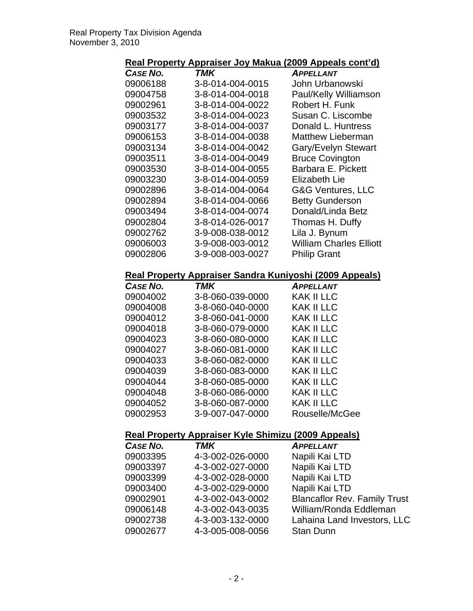# **Real Property Appraiser Joy Makua (2009 Appeals cont'd)**

| CASE NO. | TMK              | <b>APPELLANT</b>               |
|----------|------------------|--------------------------------|
| 09006188 | 3-8-014-004-0015 | John Urbanowski                |
| 09004758 | 3-8-014-004-0018 | Paul/Kelly Williamson          |
| 09002961 | 3-8-014-004-0022 | Robert H. Funk                 |
| 09003532 | 3-8-014-004-0023 | Susan C. Liscombe              |
| 09003177 | 3-8-014-004-0037 | Donald L. Huntress             |
| 09006153 | 3-8-014-004-0038 | <b>Matthew Lieberman</b>       |
| 09003134 | 3-8-014-004-0042 | Gary/Evelyn Stewart            |
| 09003511 | 3-8-014-004-0049 | <b>Bruce Covington</b>         |
| 09003530 | 3-8-014-004-0055 | Barbara E. Pickett             |
| 09003230 | 3-8-014-004-0059 | Elizabeth Lie                  |
| 09002896 | 3-8-014-004-0064 | G&G Ventures, LLC              |
| 09002894 | 3-8-014-004-0066 | <b>Betty Gunderson</b>         |
| 09003494 | 3-8-014-004-0074 | Donald/Linda Betz              |
| 09002804 | 3-8-014-026-0017 | Thomas H. Duffy                |
| 09002762 | 3-9-008-038-0012 | Lila J. Bynum                  |
| 09006003 | 3-9-008-003-0012 | <b>William Charles Elliott</b> |
| 09002806 | 3-9-008-003-0027 | <b>Philip Grant</b>            |

#### **Real Property Appraiser Sandra Kuniyoshi (2009 Appeals)**

| CASE NO. | TMK              | <b>APPELLANT</b>  |
|----------|------------------|-------------------|
| 09004002 | 3-8-060-039-0000 | <b>KAK II LLC</b> |
| 09004008 | 3-8-060-040-0000 | <b>KAK II LLC</b> |
| 09004012 | 3-8-060-041-0000 | KAK II LLC        |
| 09004018 | 3-8-060-079-0000 | KAK II LLC        |
| 09004023 | 3-8-060-080-0000 | <b>KAK II LLC</b> |
| 09004027 | 3-8-060-081-0000 | KAK II LLC        |
| 09004033 | 3-8-060-082-0000 | <b>KAK II LLC</b> |
| 09004039 | 3-8-060-083-0000 | KAK II LLC        |
| 09004044 | 3-8-060-085-0000 | KAK II LLC        |
| 09004048 | 3-8-060-086-0000 | <b>KAK II LLC</b> |
| 09004052 | 3-8-060-087-0000 | KAK II LLC        |
| 09002953 | 3-9-007-047-0000 | Rouselle/McGee    |

# **Real Property Appraiser Kyle Shimizu (2009 Appeals)**

| <b>CASE NO.</b> | <b>TMK</b>       | <b>APPELLANT</b>                    |
|-----------------|------------------|-------------------------------------|
| 09003395        | 4-3-002-026-0000 | Napili Kai LTD                      |
| 09003397        | 4-3-002-027-0000 | Napili Kai LTD                      |
| 09003399        | 4-3-002-028-0000 | Napili Kai LTD                      |
| 09003400        | 4-3-002-029-0000 | Napili Kai LTD                      |
| 09002901        | 4-3-002-043-0002 | <b>Blancaflor Rev. Family Trust</b> |
| 09006148        | 4-3-002-043-0035 | William/Ronda Eddleman              |
| 09002738        | 4-3-003-132-0000 | Lahaina Land Investors, LLC         |
| 09002677        | 4-3-005-008-0056 | <b>Stan Dunn</b>                    |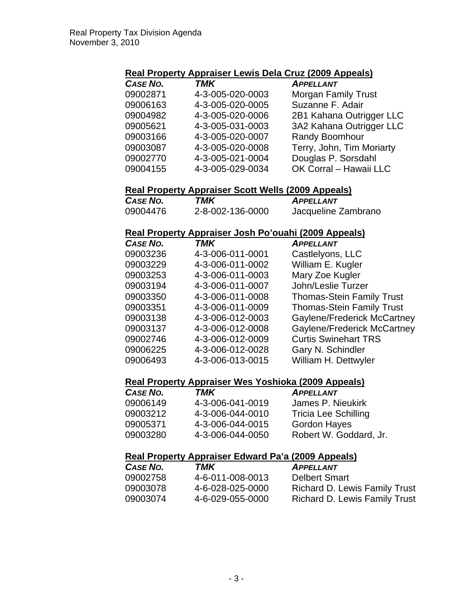#### **Real Property Appraiser Lewis Dela Cruz (2009 Appeals)**

| CASE NO. | <b>TMK</b>       | <b>APPELLANT</b>           |
|----------|------------------|----------------------------|
| 09002871 | 4-3-005-020-0003 | <b>Morgan Family Trust</b> |
| 09006163 | 4-3-005-020-0005 | Suzanne F. Adair           |
| 09004982 | 4-3-005-020-0006 | 2B1 Kahana Outrigger LLC   |
| 09005621 | 4-3-005-031-0003 | 3A2 Kahana Outrigger LLC   |
| 09003166 | 4-3-005-020-0007 | Randy Boomhour             |
| 09003087 | 4-3-005-020-0008 | Terry, John, Tim Moriarty  |
| 09002770 | 4-3-005-021-0004 | Douglas P. Sorsdahl        |
| 09004155 | 4-3-005-029-0034 | OK Corral - Hawaii LLC     |

### **Real Property Appraiser Scott Wells (2009 Appeals)**

| CASE NO. | TMK              | <b>APPELLANT</b>    |
|----------|------------------|---------------------|
| 09004476 | 2-8-002-136-0000 | Jacqueline Zambrano |

# **Real Property Appraiser Josh Po'ouahi (2009 Appeals)**

| CASE NO. | <b>TMK</b>       | <b>APPELLANT</b>                 |
|----------|------------------|----------------------------------|
| 09003236 | 4-3-006-011-0001 | Castlelyons, LLC                 |
| 09003229 | 4-3-006-011-0002 | William E. Kugler                |
| 09003253 | 4-3-006-011-0003 | Mary Zoe Kugler                  |
| 09003194 | 4-3-006-011-0007 | John/Leslie Turzer               |
| 09003350 | 4-3-006-011-0008 | <b>Thomas-Stein Family Trust</b> |
| 09003351 | 4-3-006-011-0009 | <b>Thomas-Stein Family Trust</b> |
| 09003138 | 4-3-006-012-0003 | Gaylene/Frederick McCartney      |
| 09003137 | 4-3-006-012-0008 | Gaylene/Frederick McCartney      |
| 09002746 | 4-3-006-012-0009 | <b>Curtis Swinehart TRS</b>      |
| 09006225 | 4-3-006-012-0028 | Gary N. Schindler                |
| 09006493 | 4-3-006-013-0015 | William H. Dettwyler             |
|          |                  |                                  |

#### **Real Property Appraiser Wes Yoshioka (2009 Appeals)**

| CASE NO. | TMK              | <b>APPELLANT</b>            |
|----------|------------------|-----------------------------|
| 09006149 | 4-3-006-041-0019 | James P. Nieukirk           |
| 09003212 | 4-3-006-044-0010 | <b>Tricia Lee Schilling</b> |
| 09005371 | 4-3-006-044-0015 | <b>Gordon Hayes</b>         |
| 09003280 | 4-3-006-044-0050 | Robert W. Goddard, Jr.      |

#### **Real Property Appraiser Edward Pa'a (2009 Appeals)**

| <b>CASE NO.</b> | TMK              | <b>APPELLANT</b>                     |
|-----------------|------------------|--------------------------------------|
| 09002758        | 4-6-011-008-0013 | <b>Delbert Smart</b>                 |
| 09003078        | 4-6-028-025-0000 | <b>Richard D. Lewis Family Trust</b> |
| 09003074        | 4-6-029-055-0000 | Richard D. Lewis Family Trust        |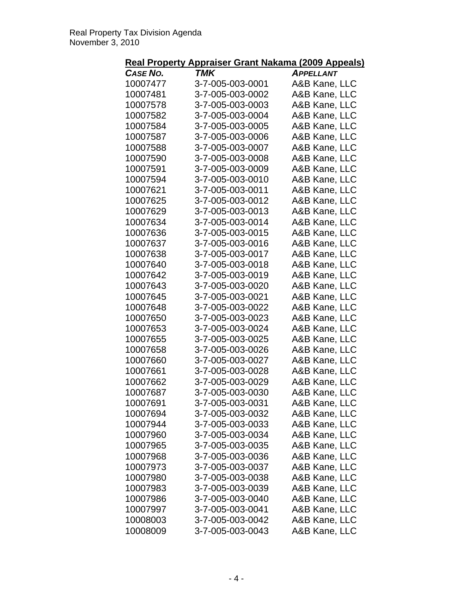|                 | <u> Real Property Appraiser Grant Nakama (2009 Appeals)</u> |                  |
|-----------------|-------------------------------------------------------------|------------------|
| <b>CASE NO.</b> | TMK                                                         | <b>APPELLANT</b> |
| 10007477        | 3-7-005-003-0001                                            | A&B Kane, LLC    |
| 10007481        | 3-7-005-003-0002                                            | A&B Kane, LLC    |
| 10007578        | 3-7-005-003-0003                                            | A&B Kane, LLC    |
| 10007582        | 3-7-005-003-0004                                            | A&B Kane, LLC    |
| 10007584        | 3-7-005-003-0005                                            | A&B Kane, LLC    |
| 10007587        | 3-7-005-003-0006                                            | A&B Kane, LLC    |
| 10007588        | 3-7-005-003-0007                                            | A&B Kane, LLC    |
| 10007590        | 3-7-005-003-0008                                            | A&B Kane, LLC    |
| 10007591        | 3-7-005-003-0009                                            | A&B Kane, LLC    |
| 10007594        | 3-7-005-003-0010                                            | A&B Kane, LLC    |
| 10007621        | 3-7-005-003-0011                                            | A&B Kane, LLC    |
| 10007625        | 3-7-005-003-0012                                            | A&B Kane, LLC    |
| 10007629        | 3-7-005-003-0013                                            | A&B Kane, LLC    |
| 10007634        | 3-7-005-003-0014                                            | A&B Kane, LLC    |
| 10007636        | 3-7-005-003-0015                                            | A&B Kane, LLC    |
| 10007637        | 3-7-005-003-0016                                            | A&B Kane, LLC    |
| 10007638        | 3-7-005-003-0017                                            | A&B Kane, LLC    |
| 10007640        | 3-7-005-003-0018                                            | A&B Kane, LLC    |
| 10007642        | 3-7-005-003-0019                                            | A&B Kane, LLC    |
| 10007643        | 3-7-005-003-0020                                            | A&B Kane, LLC    |
| 10007645        | 3-7-005-003-0021                                            | A&B Kane, LLC    |
| 10007648        | 3-7-005-003-0022                                            | A&B Kane, LLC    |
| 10007650        | 3-7-005-003-0023                                            | A&B Kane, LLC    |
| 10007653        | 3-7-005-003-0024                                            | A&B Kane, LLC    |
| 10007655        | 3-7-005-003-0025                                            | A&B Kane, LLC    |
| 10007658        | 3-7-005-003-0026                                            | A&B Kane, LLC    |
| 10007660        | 3-7-005-003-0027                                            | A&B Kane, LLC    |
| 10007661        | 3-7-005-003-0028                                            | A&B Kane, LLC    |
| 10007662        | 3-7-005-003-0029                                            | A&B Kane, LLC    |
| 10007687        | 3-7-005-003-0030                                            | A&B Kane, LLC    |
| 10007691        | 3-7-005-003-0031                                            | A&B Kane, LLC    |
| 10007694        | 3-7-005-003-0032                                            | A&B Kane, LLC    |
| 10007944        | 3-7-005-003-0033                                            | A&B Kane, LLC    |
| 10007960        | 3-7-005-003-0034                                            | A&B Kane, LLC    |
| 10007965        | 3-7-005-003-0035                                            | A&B Kane, LLC    |
| 10007968        | 3-7-005-003-0036                                            | A&B Kane, LLC    |
| 10007973        | 3-7-005-003-0037                                            | A&B Kane, LLC    |
| 10007980        | 3-7-005-003-0038                                            | A&B Kane, LLC    |
| 10007983        | 3-7-005-003-0039                                            | A&B Kane, LLC    |
| 10007986        | 3-7-005-003-0040                                            | A&B Kane, LLC    |
| 10007997        | 3-7-005-003-0041                                            | A&B Kane, LLC    |
| 10008003        | 3-7-005-003-0042                                            | A&B Kane, LLC    |
| 10008009        | 3-7-005-003-0043                                            | A&B Kane, LLC    |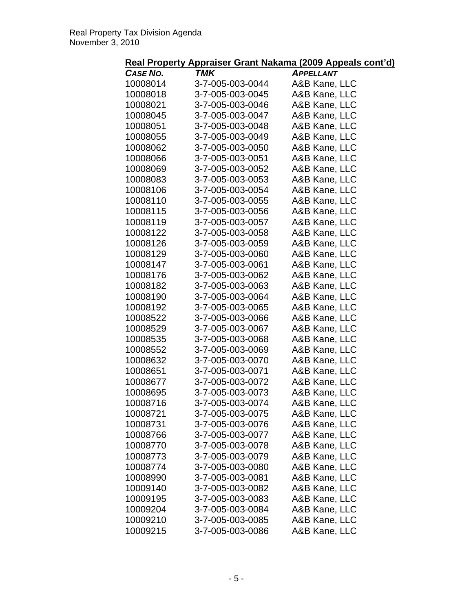| Real Property Appraiser Grant Nakama (2009 Appeals cont'd) |  |
|------------------------------------------------------------|--|
|------------------------------------------------------------|--|

| <b>CASE NO.</b> | <b>TMK</b>       | <b>APPELLANT</b> |
|-----------------|------------------|------------------|
| 10008014        | 3-7-005-003-0044 | A&B Kane, LLC    |
| 10008018        | 3-7-005-003-0045 | A&B Kane, LLC    |
| 10008021        | 3-7-005-003-0046 | A&B Kane, LLC    |
| 10008045        | 3-7-005-003-0047 | A&B Kane, LLC    |
| 10008051        | 3-7-005-003-0048 | A&B Kane, LLC    |
| 10008055        | 3-7-005-003-0049 | A&B Kane, LLC    |
| 10008062        | 3-7-005-003-0050 | A&B Kane, LLC    |
| 10008066        | 3-7-005-003-0051 | A&B Kane, LLC    |
| 10008069        | 3-7-005-003-0052 | A&B Kane, LLC    |
| 10008083        | 3-7-005-003-0053 | A&B Kane, LLC    |
| 10008106        | 3-7-005-003-0054 | A&B Kane, LLC    |
| 10008110        | 3-7-005-003-0055 | A&B Kane, LLC    |
| 10008115        | 3-7-005-003-0056 | A&B Kane, LLC    |
| 10008119        | 3-7-005-003-0057 | A&B Kane, LLC    |
| 10008122        | 3-7-005-003-0058 | A&B Kane, LLC    |
| 10008126        | 3-7-005-003-0059 | A&B Kane, LLC    |
| 10008129        | 3-7-005-003-0060 | A&B Kane, LLC    |
| 10008147        | 3-7-005-003-0061 | A&B Kane, LLC    |
| 10008176        | 3-7-005-003-0062 | A&B Kane, LLC    |
| 10008182        | 3-7-005-003-0063 | A&B Kane, LLC    |
| 10008190        | 3-7-005-003-0064 | A&B Kane, LLC    |
| 10008192        | 3-7-005-003-0065 | A&B Kane, LLC    |
| 10008522        | 3-7-005-003-0066 | A&B Kane, LLC    |
| 10008529        | 3-7-005-003-0067 | A&B Kane, LLC    |
| 10008535        | 3-7-005-003-0068 | A&B Kane, LLC    |
| 10008552        | 3-7-005-003-0069 | A&B Kane, LLC    |
| 10008632        | 3-7-005-003-0070 | A&B Kane, LLC    |
| 10008651        | 3-7-005-003-0071 | A&B Kane, LLC    |
| 10008677        | 3-7-005-003-0072 | A&B Kane, LLC    |
| 10008695        | 3-7-005-003-0073 | A&B Kane, LLC    |
| 10008716        | 3-7-005-003-0074 | A&B Kane, LLC    |
| 10008721        | 3-7-005-003-0075 | A&B Kane, LLC    |
| 10008731        | 3-7-005-003-0076 | A&B Kane, LLC    |
| 10008766        | 3-7-005-003-0077 | A&B Kane, LLC    |
| 10008770        | 3-7-005-003-0078 | A&B Kane, LLC    |
| 10008773        | 3-7-005-003-0079 | A&B Kane, LLC    |
| 10008774        | 3-7-005-003-0080 | A&B Kane, LLC    |
| 10008990        | 3-7-005-003-0081 | A&B Kane, LLC    |
| 10009140        | 3-7-005-003-0082 | A&B Kane, LLC    |
| 10009195        | 3-7-005-003-0083 | A&B Kane, LLC    |
| 10009204        | 3-7-005-003-0084 | A&B Kane, LLC    |
| 10009210        | 3-7-005-003-0085 | A&B Kane, LLC    |
| 10009215        | 3-7-005-003-0086 | A&B Kane, LLC    |